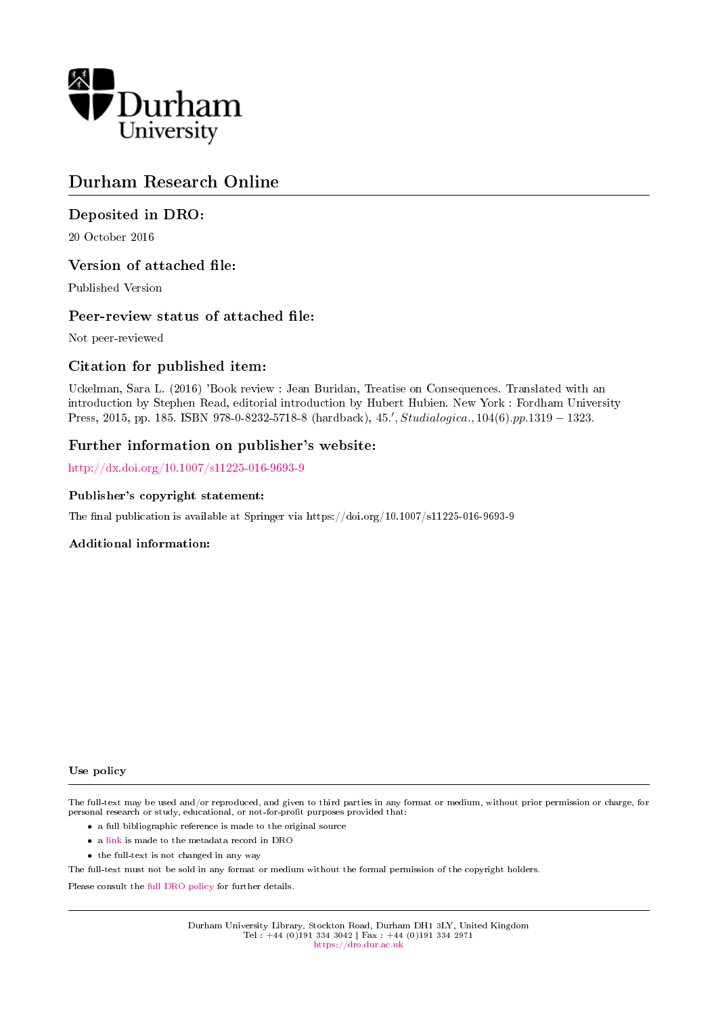

# Durham Research Online

# Deposited in DRO:

20 October 2016

## Version of attached file:

Published Version

## Peer-review status of attached file:

Not peer-reviewed

## Citation for published item:

Uckelman, Sara L. (2016) 'Book review : Jean Buridan, Treatise on Consequences. Translated with an introduction by Stephen Read, editorial introduction by Hubert Hubien. New York : Fordham University Press, 2015, pp. 185. ISBN 978-0-8232-5718-8 (hardback), 45.', Studialogica., 104(6).pp.1319 – 1323.

### Further information on publisher's website:

<http://dx.doi.org/10.1007/s11225-016-9693-9>

### Publisher's copyright statement:

The final publication is available at Springer via https://doi.org/10.1007/s11225-016-9693-9

### Additional information:

#### Use policy

The full-text may be used and/or reproduced, and given to third parties in any format or medium, without prior permission or charge, for personal research or study, educational, or not-for-profit purposes provided that:

- a full bibliographic reference is made to the original source
- a [link](http://dro.dur.ac.uk/20070/) is made to the metadata record in DRO
- the full-text is not changed in any way

The full-text must not be sold in any format or medium without the formal permission of the copyright holders.

Please consult the [full DRO policy](https://dro.dur.ac.uk/policies/usepolicy.pdf) for further details.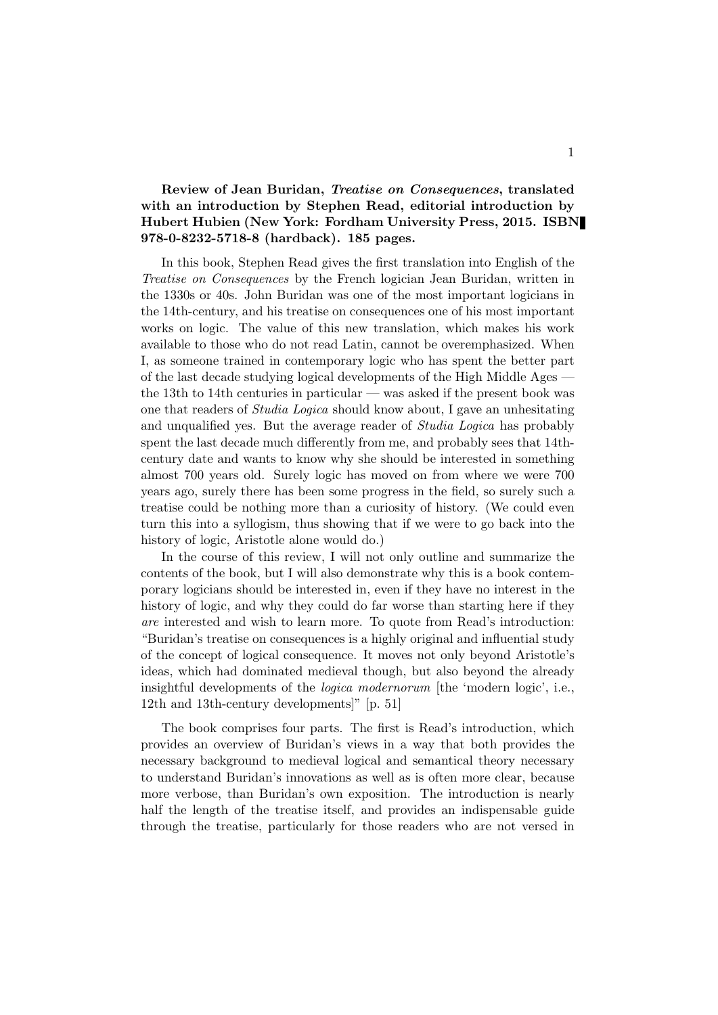### Review of Jean Buridan, Treatise on Consequences, translated with an introduction by Stephen Read, editorial introduction by Hubert Hubien (New York: Fordham University Press, 2015. ISBN 978-0-8232-5718-8 (hardback). 185 pages.

In this book, Stephen Read gives the first translation into English of the Treatise on Consequences by the French logician Jean Buridan, written in the 1330s or 40s. John Buridan was one of the most important logicians in the 14th-century, and his treatise on consequences one of his most important works on logic. The value of this new translation, which makes his work available to those who do not read Latin, cannot be overemphasized. When I, as someone trained in contemporary logic who has spent the better part of the last decade studying logical developments of the High Middle Ages the 13th to 14th centuries in particular — was asked if the present book was one that readers of Studia Logica should know about, I gave an unhesitating and unqualified yes. But the average reader of Studia Logica has probably spent the last decade much differently from me, and probably sees that 14thcentury date and wants to know why she should be interested in something almost 700 years old. Surely logic has moved on from where we were 700 years ago, surely there has been some progress in the field, so surely such a treatise could be nothing more than a curiosity of history. (We could even turn this into a syllogism, thus showing that if we were to go back into the history of logic, Aristotle alone would do.)

In the course of this review, I will not only outline and summarize the contents of the book, but I will also demonstrate why this is a book contemporary logicians should be interested in, even if they have no interest in the history of logic, and why they could do far worse than starting here if they are interested and wish to learn more. To quote from Read's introduction: "Buridan's treatise on consequences is a highly original and influential study of the concept of logical consequence. It moves not only beyond Aristotle's ideas, which had dominated medieval though, but also beyond the already insightful developments of the logica modernorum [the 'modern logic', i.e., 12th and 13th-century developments]" [p. 51]

The book comprises four parts. The first is Read's introduction, which provides an overview of Buridan's views in a way that both provides the necessary background to medieval logical and semantical theory necessary to understand Buridan's innovations as well as is often more clear, because more verbose, than Buridan's own exposition. The introduction is nearly half the length of the treatise itself, and provides an indispensable guide through the treatise, particularly for those readers who are not versed in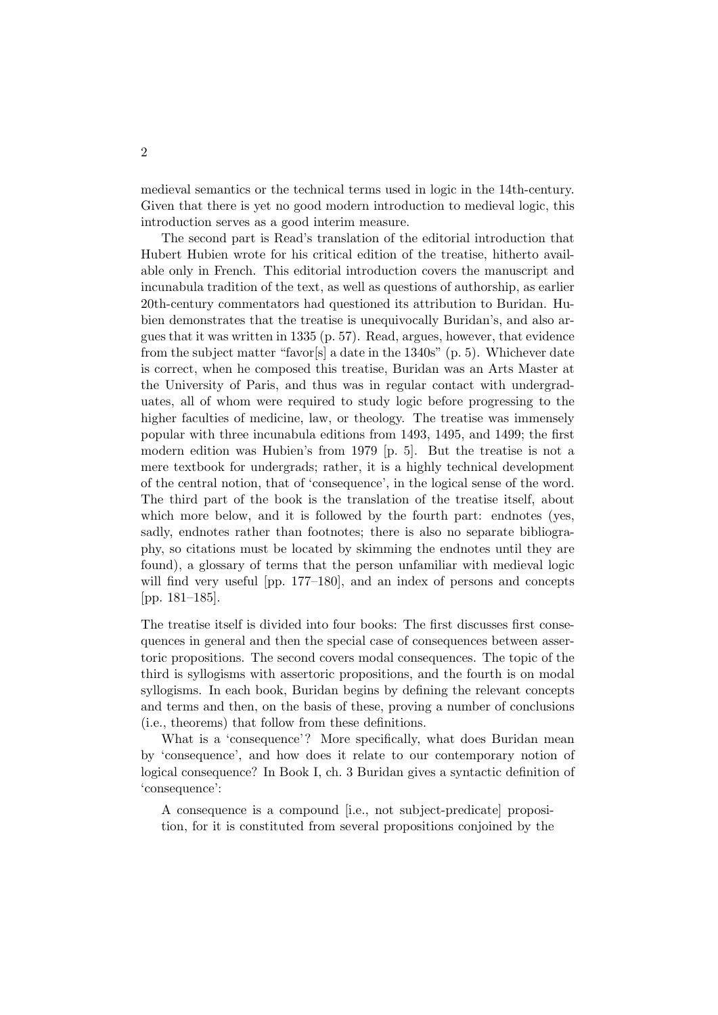medieval semantics or the technical terms used in logic in the 14th-century. Given that there is yet no good modern introduction to medieval logic, this introduction serves as a good interim measure.

The second part is Read's translation of the editorial introduction that Hubert Hubien wrote for his critical edition of the treatise, hitherto available only in French. This editorial introduction covers the manuscript and incunabula tradition of the text, as well as questions of authorship, as earlier 20th-century commentators had questioned its attribution to Buridan. Hubien demonstrates that the treatise is unequivocally Buridan's, and also argues that it was written in 1335 (p. 57). Read, argues, however, that evidence from the subject matter "favor[s] a date in the 1340s" (p. 5). Whichever date is correct, when he composed this treatise, Buridan was an Arts Master at the University of Paris, and thus was in regular contact with undergraduates, all of whom were required to study logic before progressing to the higher faculties of medicine, law, or theology. The treatise was immensely popular with three incunabula editions from 1493, 1495, and 1499; the first modern edition was Hubien's from 1979 [p. 5]. But the treatise is not a mere textbook for undergrads; rather, it is a highly technical development of the central notion, that of 'consequence', in the logical sense of the word. The third part of the book is the translation of the treatise itself, about which more below, and it is followed by the fourth part: endnotes (yes, sadly, endnotes rather than footnotes; there is also no separate bibliography, so citations must be located by skimming the endnotes until they are found), a glossary of terms that the person unfamiliar with medieval logic will find very useful [pp. 177–180], and an index of persons and concepts [pp. 181–185].

The treatise itself is divided into four books: The first discusses first consequences in general and then the special case of consequences between assertoric propositions. The second covers modal consequences. The topic of the third is syllogisms with assertoric propositions, and the fourth is on modal syllogisms. In each book, Buridan begins by defining the relevant concepts and terms and then, on the basis of these, proving a number of conclusions (i.e., theorems) that follow from these definitions.

What is a 'consequence'? More specifically, what does Buridan mean by 'consequence', and how does it relate to our contemporary notion of logical consequence? In Book I, ch. 3 Buridan gives a syntactic definition of 'consequence':

A consequence is a compound [i.e., not subject-predicate] proposition, for it is constituted from several propositions conjoined by the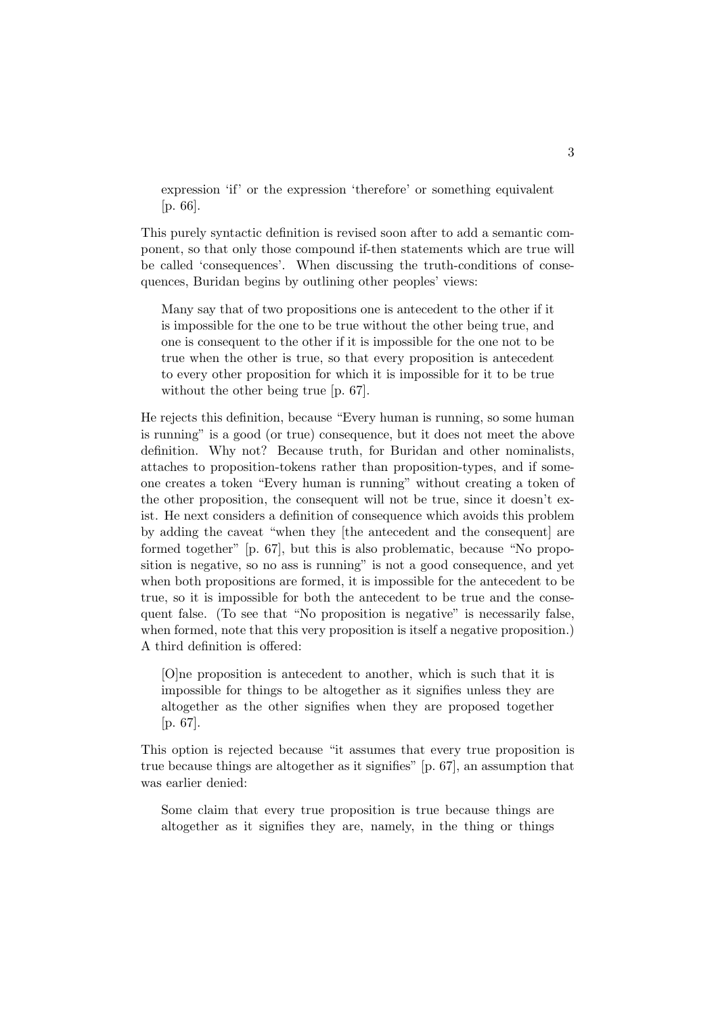expression 'if' or the expression 'therefore' or something equivalent [p. 66].

This purely syntactic definition is revised soon after to add a semantic component, so that only those compound if-then statements which are true will be called 'consequences'. When discussing the truth-conditions of consequences, Buridan begins by outlining other peoples' views:

Many say that of two propositions one is antecedent to the other if it is impossible for the one to be true without the other being true, and one is consequent to the other if it is impossible for the one not to be true when the other is true, so that every proposition is antecedent to every other proposition for which it is impossible for it to be true without the other being true [p. 67].

He rejects this definition, because "Every human is running, so some human is running" is a good (or true) consequence, but it does not meet the above definition. Why not? Because truth, for Buridan and other nominalists, attaches to proposition-tokens rather than proposition-types, and if someone creates a token "Every human is running" without creating a token of the other proposition, the consequent will not be true, since it doesn't exist. He next considers a definition of consequence which avoids this problem by adding the caveat "when they [the antecedent and the consequent] are formed together" [p. 67], but this is also problematic, because "No proposition is negative, so no ass is running" is not a good consequence, and yet when both propositions are formed, it is impossible for the antecedent to be true, so it is impossible for both the antecedent to be true and the consequent false. (To see that "No proposition is negative" is necessarily false, when formed, note that this very proposition is itself a negative proposition.) A third definition is offered:

[O]ne proposition is antecedent to another, which is such that it is impossible for things to be altogether as it signifies unless they are altogether as the other signifies when they are proposed together [p. 67].

This option is rejected because "it assumes that every true proposition is true because things are altogether as it signifies" [p. 67], an assumption that was earlier denied:

Some claim that every true proposition is true because things are altogether as it signifies they are, namely, in the thing or things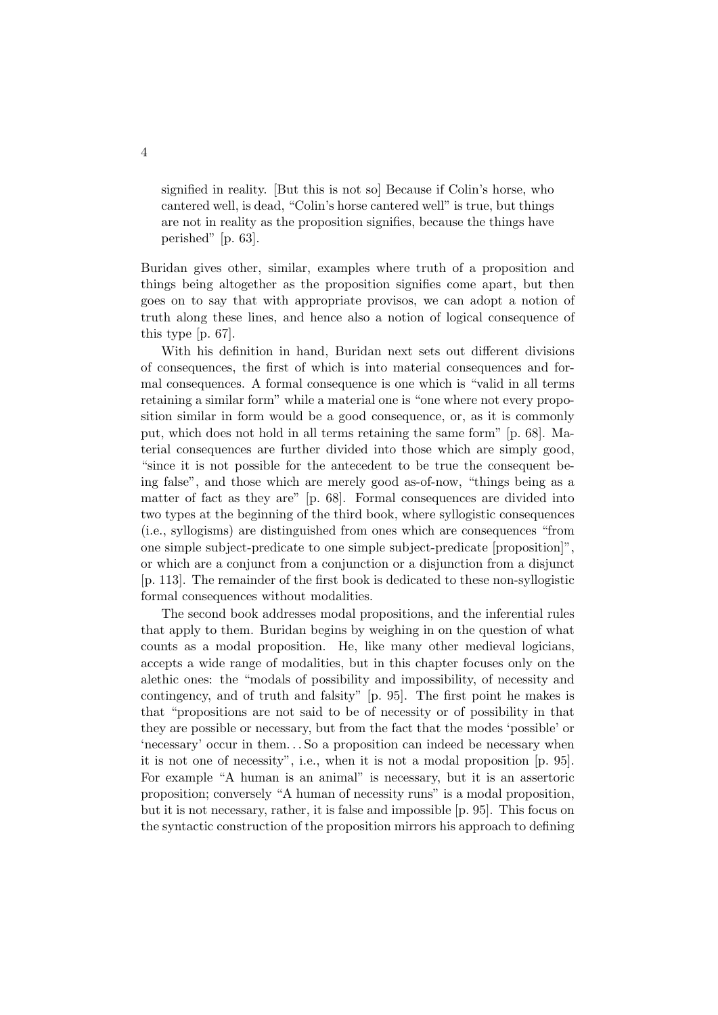signified in reality. [But this is not so] Because if Colin's horse, who cantered well, is dead, "Colin's horse cantered well" is true, but things are not in reality as the proposition signifies, because the things have perished" [p. 63].

Buridan gives other, similar, examples where truth of a proposition and things being altogether as the proposition signifies come apart, but then goes on to say that with appropriate provisos, we can adopt a notion of truth along these lines, and hence also a notion of logical consequence of this type [p. 67].

With his definition in hand, Buridan next sets out different divisions of consequences, the first of which is into material consequences and formal consequences. A formal consequence is one which is "valid in all terms retaining a similar form" while a material one is "one where not every proposition similar in form would be a good consequence, or, as it is commonly put, which does not hold in all terms retaining the same form" [p. 68]. Material consequences are further divided into those which are simply good, "since it is not possible for the antecedent to be true the consequent being false", and those which are merely good as-of-now, "things being as a matter of fact as they are" [p. 68]. Formal consequences are divided into two types at the beginning of the third book, where syllogistic consequences (i.e., syllogisms) are distinguished from ones which are consequences "from one simple subject-predicate to one simple subject-predicate [proposition]", or which are a conjunct from a conjunction or a disjunction from a disjunct [p. 113]. The remainder of the first book is dedicated to these non-syllogistic formal consequences without modalities.

The second book addresses modal propositions, and the inferential rules that apply to them. Buridan begins by weighing in on the question of what counts as a modal proposition. He, like many other medieval logicians, accepts a wide range of modalities, but in this chapter focuses only on the alethic ones: the "modals of possibility and impossibility, of necessity and contingency, and of truth and falsity" [p. 95]. The first point he makes is that "propositions are not said to be of necessity or of possibility in that they are possible or necessary, but from the fact that the modes 'possible' or 'necessary' occur in them. . . So a proposition can indeed be necessary when it is not one of necessity", i.e., when it is not a modal proposition [p. 95]. For example "A human is an animal" is necessary, but it is an assertoric proposition; conversely "A human of necessity runs" is a modal proposition, but it is not necessary, rather, it is false and impossible [p. 95]. This focus on the syntactic construction of the proposition mirrors his approach to defining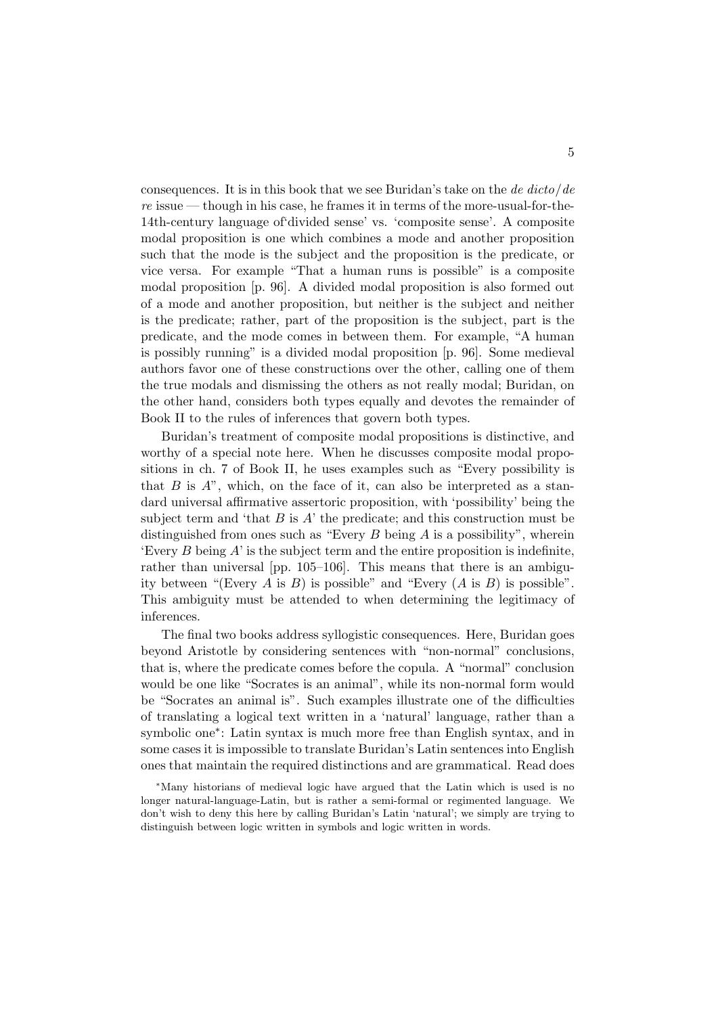consequences. It is in this book that we see Buridan's take on the de  $dicto/de$  $re$  issue — though in his case, he frames it in terms of the more-usual-for-the-14th-century language of'divided sense' vs. 'composite sense'. A composite modal proposition is one which combines a mode and another proposition such that the mode is the subject and the proposition is the predicate, or vice versa. For example "That a human runs is possible" is a composite modal proposition [p. 96]. A divided modal proposition is also formed out of a mode and another proposition, but neither is the subject and neither is the predicate; rather, part of the proposition is the subject, part is the predicate, and the mode comes in between them. For example, "A human is possibly running" is a divided modal proposition [p. 96]. Some medieval authors favor one of these constructions over the other, calling one of them the true modals and dismissing the others as not really modal; Buridan, on the other hand, considers both types equally and devotes the remainder of Book II to the rules of inferences that govern both types.

Buridan's treatment of composite modal propositions is distinctive, and worthy of a special note here. When he discusses composite modal propositions in ch. 7 of Book II, he uses examples such as "Every possibility is that  $B$  is  $A$ ", which, on the face of it, can also be interpreted as a standard universal affirmative assertoric proposition, with 'possibility' being the subject term and 'that  $B$  is  $A$ ' the predicate; and this construction must be distinguished from ones such as "Every  $B$  being  $A$  is a possibility", wherein 'Every B being  $A'$  is the subject term and the entire proposition is indefinite. rather than universal [pp. 105–106]. This means that there is an ambiguity between "(Every A is B) is possible" and "Every  $(A \text{ is } B)$  is possible". This ambiguity must be attended to when determining the legitimacy of inferences.

The final two books address syllogistic consequences. Here, Buridan goes beyond Aristotle by considering sentences with "non-normal" conclusions, that is, where the predicate comes before the copula. A "normal" conclusion would be one like "Socrates is an animal", while its non-normal form would be "Socrates an animal is". Such examples illustrate one of the difficulties of translating a logical text written in a 'natural' language, rather than a symbolic one<sup>∗</sup>: Latin syntax is much more free than English syntax, and in some cases it is impossible to translate Buridan's Latin sentences into English ones that maintain the required distinctions and are grammatical. Read does

<sup>∗</sup>Many historians of medieval logic have argued that the Latin which is used is no longer natural-language-Latin, but is rather a semi-formal or regimented language. We don't wish to deny this here by calling Buridan's Latin 'natural'; we simply are trying to distinguish between logic written in symbols and logic written in words.